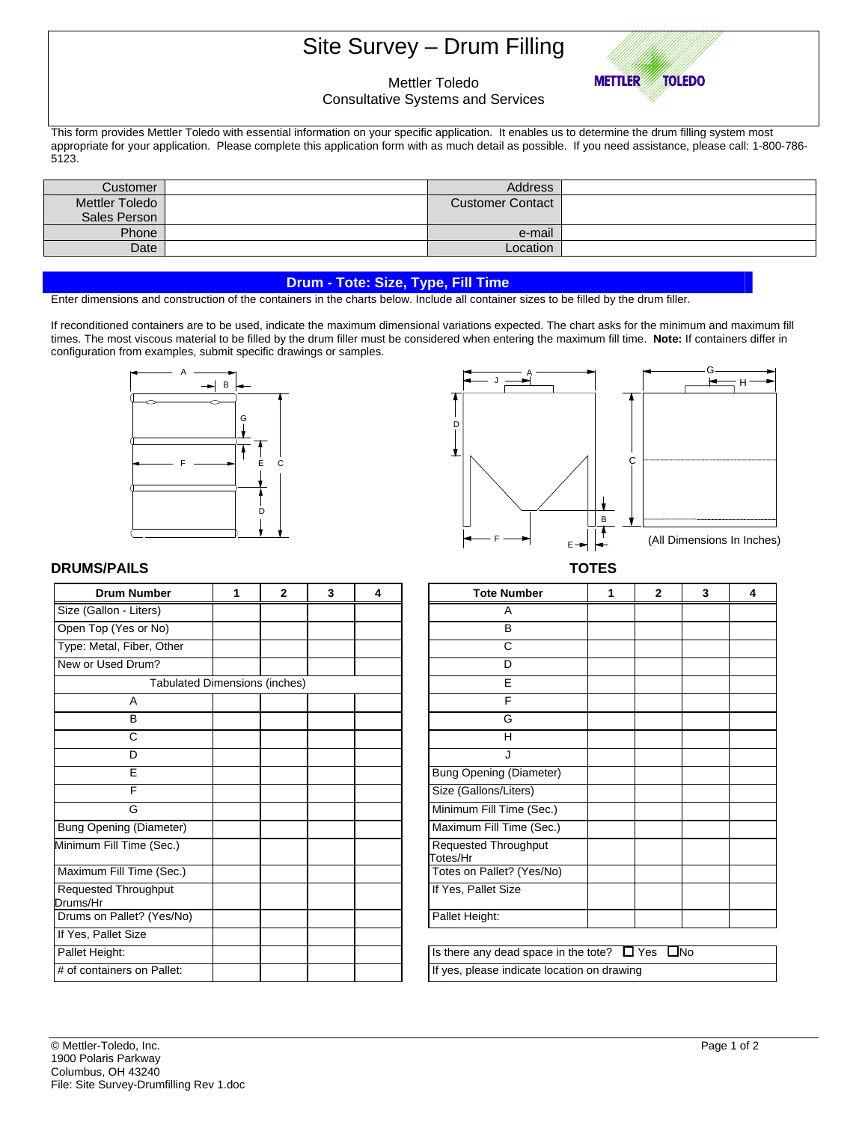# Site Survey – Drum Filling



## Mettler Toledo

Consultative Systems and Services

This form provides Mettler Toledo with essential information on your specific application. It enables us to determine the drum filling system most appropriate for your application. Please complete this application form with as much detail as possible. If you need assistance, please call: 1-800-786- 5123.

| Customer       | <b>Address</b>          |  |
|----------------|-------------------------|--|
| Mettler Toledo | <b>Customer Contact</b> |  |
| Sales Person   |                         |  |
| Phone          | e-mail                  |  |
| Date           | Location                |  |

### **Drum - Tote: Size, Type, Fill Time**

Enter dimensions and construction of the containers in the charts below. Include all container sizes to be filled by the drum filler.

If reconditioned containers are to be used, indicate the maximum dimensional variations expected. The chart asks for the minimum and maximum fill times. The most viscous material to be filled by the drum filler must be considered when entering the maximum fill time. **Note:** If containers differ in configuration from examples, submit specific drawings or samples.





### **DRUMS/PAILS TOTES**

| <b>Drum Number</b>                   | 1 | $\overline{2}$ | 3 | 4 | <b>Tote Number</b>                                        | 1 | $\mathbf{2}$ |  |
|--------------------------------------|---|----------------|---|---|-----------------------------------------------------------|---|--------------|--|
| Size (Gallon - Liters)               |   |                |   |   | A                                                         |   |              |  |
| Open Top (Yes or No)                 |   |                |   |   | B                                                         |   |              |  |
| Type: Metal, Fiber, Other            |   |                |   |   | C                                                         |   |              |  |
| New or Used Drum?                    |   |                |   |   | D                                                         |   |              |  |
| <b>Tabulated Dimensions (inches)</b> |   |                |   |   | E                                                         |   |              |  |
| A                                    |   |                |   |   | F                                                         |   |              |  |
| B                                    |   |                |   |   | G                                                         |   |              |  |
| С                                    |   |                |   |   | H                                                         |   |              |  |
| D                                    |   |                |   |   | J                                                         |   |              |  |
| E                                    |   |                |   |   | <b>Bung Opening (Diameter)</b>                            |   |              |  |
| F                                    |   |                |   |   | Size (Gallons/Liters)                                     |   |              |  |
| G                                    |   |                |   |   | Minimum Fill Time (Sec.)                                  |   |              |  |
| <b>Bung Opening (Diameter)</b>       |   |                |   |   | Maximum Fill Time (Sec.)                                  |   |              |  |
| Minimum Fill Time (Sec.)             |   |                |   |   | Requested Throughput<br>Totes/Hr                          |   |              |  |
| Maximum Fill Time (Sec.)             |   |                |   |   | Totes on Pallet? (Yes/No)                                 |   |              |  |
| Requested Throughput<br>Drums/Hr     |   |                |   |   | If Yes, Pallet Size                                       |   |              |  |
| Drums on Pallet? (Yes/No)            |   |                |   |   | Pallet Height:                                            |   |              |  |
| If Yes, Pallet Size                  |   |                |   |   |                                                           |   |              |  |
| Pallet Height:                       |   |                |   |   | Is there any dead space in the tote? $\Box$ Yes $\Box$ No |   |              |  |
| # of containers on Pallet:           |   |                |   |   | If yes, please indicate location on drawing               |   |              |  |

| Drum Number                          | 1 | $\mathbf{2}$ | 3 | 4 | <b>Tote Number</b>                                        | 1 | 2 | 3 | 4 |
|--------------------------------------|---|--------------|---|---|-----------------------------------------------------------|---|---|---|---|
| allon - Liters)                      |   |              |   |   | Α                                                         |   |   |   |   |
| op (Yes or No)                       |   |              |   |   | B                                                         |   |   |   |   |
| letal, Fiber, Other                  |   |              |   |   | C                                                         |   |   |   |   |
| Used Drum?                           |   |              |   |   | D                                                         |   |   |   |   |
| <b>Tabulated Dimensions (inches)</b> |   |              |   |   | E                                                         |   |   |   |   |
| A                                    |   |              |   |   | F                                                         |   |   |   |   |
| B                                    |   |              |   |   | G                                                         |   |   |   |   |
| С                                    |   |              |   |   | Н                                                         |   |   |   |   |
| D                                    |   |              |   |   |                                                           |   |   |   |   |
| E                                    |   |              |   |   | <b>Bung Opening (Diameter)</b>                            |   |   |   |   |
| F                                    |   |              |   |   | Size (Gallons/Liters)                                     |   |   |   |   |
| G                                    |   |              |   |   | Minimum Fill Time (Sec.)                                  |   |   |   |   |
| pening (Diameter)                    |   |              |   |   | Maximum Fill Time (Sec.)                                  |   |   |   |   |
| n Fill Time (Sec.)                   |   |              |   |   | Requested Throughput<br>Totes/Hr                          |   |   |   |   |
| im Fill Time (Sec.)                  |   |              |   |   | Totes on Pallet? (Yes/No)                                 |   |   |   |   |
| ted Throughput<br>łr                 |   |              |   |   | If Yes, Pallet Size                                       |   |   |   |   |
| on Pallet? (Yes/No)                  |   |              |   |   | Pallet Height:                                            |   |   |   |   |
| Pallet Size                          |   |              |   |   |                                                           |   |   |   |   |
| leight:                              |   |              |   |   | Is there any dead space in the tote? $\Box$ Yes $\Box$ No |   |   |   |   |
| itainers on Pallet:                  |   |              |   |   | If yes, please indicate location on drawing               |   |   |   |   |